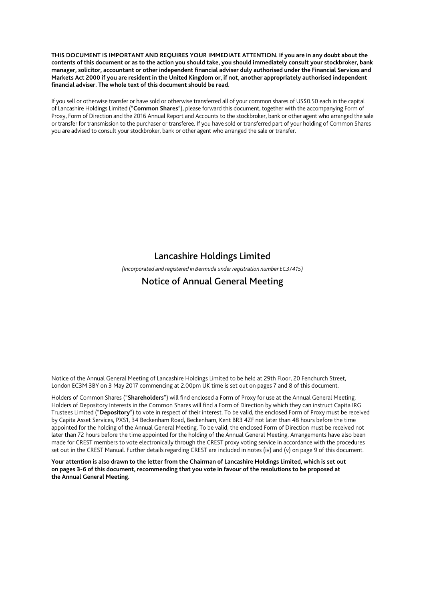**THIS DOCUMENT IS IMPORTANT AND REQUIRES YOUR IMMEDIATE ATTENTION. If you are in any doubt about the contents of this document or as to the action you should take, you should immediately consult your stockbroker, bank manager, solicitor, accountant or other independent financial adviser duly authorised under the Financial Services and Markets Act 2000 if you are resident in the United Kingdom or, if not, another appropriately authorised independent financial adviser. The whole text of this document should be read.** 

If you sell or otherwise transfer or have sold or otherwise transferred all of your common shares of US\$0.50 each in the capital of Lancashire Holdings Limited ("**Common Shares**"), please forward this document, together with the accompanying Form of Proxy, Form of Direction and the 2016 Annual Report and Accounts to the stockbroker, bank or other agent who arranged the sale or transfer for transmission to the purchaser or transferee. If you have sold or transferred part of your holding of Common Shares you are advised to consult your stockbroker, bank or other agent who arranged the sale or transfer.

# Lancashire Holdings Limited

*(Incorporated and registered in Bermuda under registration number EC37415)* 

# Notice of Annual General Meeting

Notice of the Annual General Meeting of Lancashire Holdings Limited to be held at 29th Floor, 20 Fenchurch Street, London EC3M 3BY on 3 May 2017 commencing at 2.00pm UK time is set out on pages 7 and 8 of this document.

Holders of Common Shares ("**Shareholders**") will find enclosed a Form of Proxy for use at the Annual General Meeting. Holders of Depository Interests in the Common Shares will find a Form of Direction by which they can instruct Capita IRG Trustees Limited ("**Depository**") to vote in respect of their interest. To be valid, the enclosed Form of Proxy must be received by Capita Asset Services, PXS1, 34 Beckenham Road, Beckenham, Kent BR3 4ZF not later than 48 hours before the time appointed for the holding of the Annual General Meeting. To be valid, the enclosed Form of Direction must be received not later than 72 hours before the time appointed for the holding of the Annual General Meeting. Arrangements have also been made for CREST members to vote electronically through the CREST proxy voting service in accordance with the procedures set out in the CREST Manual. Further details regarding CREST are included in notes (iv) and (v) on page 9 of this document.

**Your attention is also drawn to the letter from the Chairman of Lancashire Holdings Limited, which is set out on pages 3-6 of this document, recommending that you vote in favour of the resolutions to be proposed at the Annual General Meeting.**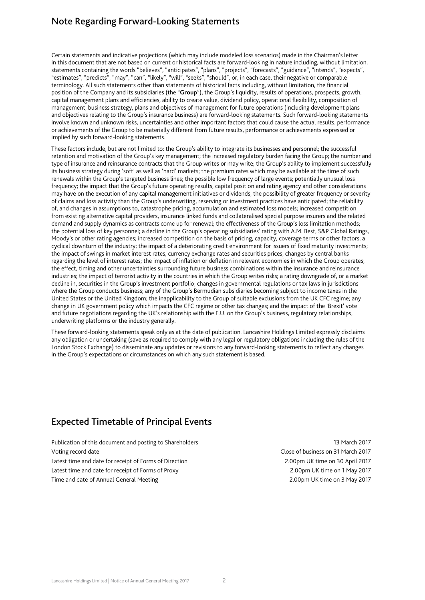# Note Regarding Forward-Looking Statements

Certain statements and indicative projections (which may include modeled loss scenarios) made in the Chairman's letter in this document that are not based on current or historical facts are forward-looking in nature including, without limitation, statements containing the words "believes", "anticipates", "plans", "projects", "forecasts", "guidance", "intends", "expects", "estimates", "predicts", "may", "can", "likely", "will", "seeks", "should", or, in each case, their negative or comparable terminology. All such statements other than statements of historical facts including, without limitation, the financial position of the Company and its subsidiaries (the "**Group**"), the Group's liquidity, results of operations, prospects, growth, capital management plans and efficiencies, ability to create value, dividend policy, operational flexibility, composition of management, business strategy, plans and objectives of management for future operations (including development plans and objectives relating to the Group's insurance business) are forward-looking statements. Such forward-looking statements involve known and unknown risks, uncertainties and other important factors that could cause the actual results, performance or achievements of the Group to be materially different from future results, performance or achievements expressed or implied by such forward-looking statements.

These factors include, but are not limited to: the Group's ability to integrate its businesses and personnel; the successful retention and motivation of the Group's key management; the increased regulatory burden facing the Group; the number and type of insurance and reinsurance contracts that the Group writes or may write; the Group's ability to implement successfully its business strategy during 'soft' as well as 'hard' markets; the premium rates which may be available at the time of such renewals within the Group's targeted business lines; the possible low frequency of large events; potentially unusual loss frequency; the impact that the Group's future operating results, capital position and rating agency and other considerations may have on the execution of any capital management initiatives or dividends; the possibility of greater frequency or severity of claims and loss activity than the Group's underwriting, reserving or investment practices have anticipated; the reliability of, and changes in assumptions to, catastrophe pricing, accumulation and estimated loss models; increased competition from existing alternative capital providers, insurance linked funds and collateralised special purpose insurers and the related demand and supply dynamics as contracts come up for renewal; the effectiveness of the Group's loss limitation methods; the potential loss of key personnel; a decline in the Group's operating subsidiaries' rating with A.M. Best, S&P Global Ratings, Moody's or other rating agencies; increased competition on the basis of pricing, capacity, coverage terms or other factors; a cyclical downturn of the industry; the impact of a deteriorating credit environment for issuers of fixed maturity investments; the impact of swings in market interest rates, currency exchange rates and securities prices; changes by central banks regarding the level of interest rates; the impact of inflation or deflation in relevant economies in which the Group operates; the effect, timing and other uncertainties surrounding future business combinations within the insurance and reinsurance industries; the impact of terrorist activity in the countries in which the Group writes risks; a rating downgrade of, or a market decline in, securities in the Group's investment portfolio; changes in governmental regulations or tax laws in jurisdictions where the Group conducts business; any of the Group's Bermudian subsidiaries becoming subject to income taxes in the United States or the United Kingdom; the inapplicability to the Group of suitable exclusions from the UK CFC regime; any change in UK government policy which impacts the CFC regime or other tax changes; and the impact of the 'Brexit' vote and future negotiations regarding the UK's relationship with the E.U. on the Group's business, regulatory relationships, underwriting platforms or the industry generally.

These forward-looking statements speak only as at the date of publication. Lancashire Holdings Limited expressly disclaims any obligation or undertaking (save as required to comply with any legal or regulatory obligations including the rules of the London Stock Exchange) to disseminate any updates or revisions to any forward-looking statements to reflect any changes in the Group's expectations or circumstances on which any such statement is based.

# Expected Timetable of Principal Events

Publication of this document and posting to Shareholders 13 March 2017 Voting record date Close of business on 31 March 2017 Latest time and date for receipt of Forms of Direction 2.00pm UK time on 30 April 2017 Latest time and date for receipt of Forms of Proxy 2.00pm UK time on 1 May 2017 Time and date of Annual General Meeting 2.00pm UK time on 3 May 2017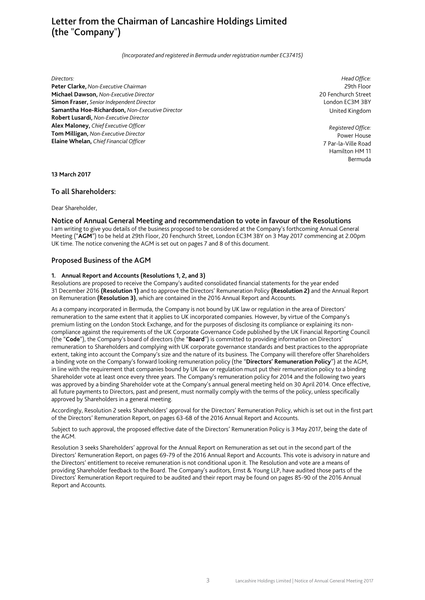# Letter from the Chairman of Lancashire Holdings Limited (the "Company")

*(Incorporated and registered in Bermuda under registration number EC37415)* 

#### *Directors:*

**Peter Clarke,** *Non-Executive Chairman*  **Michael Dawson,** *Non-Executive Director*  **Simon Fraser,** *Senior Independent Director*  **Samantha Hoe-Richardson,** *Non-Executive Director*  **Robert Lusardi,** *Non-Executive Director*  **Alex Maloney,** *Chief Executive Officer*  **Tom Milligan,** *Non-Executive Director*  **Elaine Whelan,** *Chief Financial Officer* 

*Head Office:* 29th Floor 20 Fenchurch Street London EC3M 3BY United Kingdom

*Registered Office:* Power House 7 Par-la-Ville Road Hamilton HM 11 Bermuda

**13 March 2017** 

## To all Shareholders:

Dear Shareholder,

#### Notice of Annual General Meeting and recommendation to vote in favour of the Resolutions

I am writing to give you details of the business proposed to be considered at the Company's forthcoming Annual General Meeting ("**AGM**") to be held at 29th Floor, 20 Fenchurch Street, London EC3M 3BY on 3 May 2017 commencing at 2.00pm UK time. The notice convening the AGM is set out on pages 7 and 8 of this document.

## Proposed Business of the AGM

#### **1. Annual Report and Accounts (Resolutions 1, 2, and 3)**

Resolutions are proposed to receive the Company's audited consolidated financial statements for the year ended 31 December 2016 **(Resolution 1)** and to approve the Directors' Remuneration Policy **(Resolution 2)** and the Annual Report on Remuneration **(Resolution 3)**, which are contained in the 2016 Annual Report and Accounts.

As a company incorporated in Bermuda, the Company is not bound by UK law or regulation in the area of Directors' remuneration to the same extent that it applies to UK incorporated companies. However, by virtue of the Company's premium listing on the London Stock Exchange, and for the purposes of disclosing its compliance or explaining its noncompliance against the requirements of the UK Corporate Governance Code published by the UK Financial Reporting Council (the "**Code**"), the Company's board of directors (the "**Board**") is committed to providing information on Directors' remuneration to Shareholders and complying with UK corporate governance standards and best practices to the appropriate extent, taking into account the Company's size and the nature of its business. The Company will therefore offer Shareholders a binding vote on the Company's forward looking remuneration policy (the "**Directors' Remuneration Policy**") at the AGM, in line with the requirement that companies bound by UK law or regulation must put their remuneration policy to a binding Shareholder vote at least once every three years. The Company's remuneration policy for 2014 and the following two years was approved by a binding Shareholder vote at the Company's annual general meeting held on 30 April 2014. Once effective, all future payments to Directors, past and present, must normally comply with the terms of the policy, unless specifically approved by Shareholders in a general meeting.

Accordingly, Resolution 2 seeks Shareholders' approval for the Directors' Remuneration Policy, which is set out in the first part of the Directors' Remuneration Report, on pages 63-68 of the 2016 Annual Report and Accounts.

Subject to such approval, the proposed effective date of the Directors' Remuneration Policy is 3 May 2017, being the date of the AGM.

Resolution 3 seeks Shareholders' approval for the Annual Report on Remuneration as set out in the second part of the Directors' Remuneration Report, on pages 69-79 of the 2016 Annual Report and Accounts. This vote is advisory in nature and the Directors' entitlement to receive remuneration is not conditional upon it. The Resolution and vote are a means of providing Shareholder feedback to the Board. The Company's auditors, Ernst & Young LLP, have audited those parts of the Directors' Remuneration Report required to be audited and their report may be found on pages 85-90 of the 2016 Annual Report and Accounts.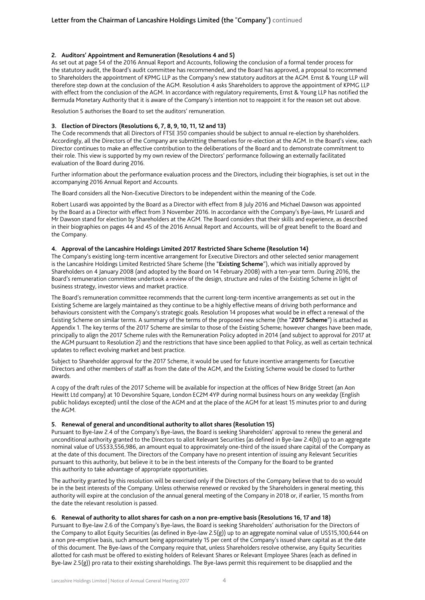## **2. Auditors' Appointment and Remuneration (Resolutions 4 and 5)**

As set out at page 54 of the 2016 Annual Report and Accounts, following the conclusion of a formal tender process for the statutory audit, the Board's audit committee has recommended, and the Board has approved, a proposal to recommend to Shareholders the appointment of KPMG LLP as the Company's new statutory auditors at the AGM. Ernst & Young LLP will therefore step down at the conclusion of the AGM. Resolution 4 asks Shareholders to approve the appointment of KPMG LLP with effect from the conclusion of the AGM. In accordance with regulatory requirements, Ernst & Young LLP has notified the Bermuda Monetary Authority that it is aware of the Company's intention not to reappoint it for the reason set out above.

Resolution 5 authorises the Board to set the auditors' remuneration.

## **3. Election of Directors (Resolutions 6, 7, 8, 9, 10, 11, 12 and 13)**

The Code recommends that all Directors of FTSE 350 companies should be subject to annual re-election by shareholders. Accordingly, all the Directors of the Company are submitting themselves for re-election at the AGM. In the Board's view, each Director continues to make an effective contribution to the deliberations of the Board and to demonstrate commitment to their role. This view is supported by my own review of the Directors' performance following an externally facilitated evaluation of the Board during 2016.

Further information about the performance evaluation process and the Directors, including their biographies, is set out in the accompanying 2016 Annual Report and Accounts.

The Board considers all the Non-Executive Directors to be independent within the meaning of the Code.

Robert Lusardi was appointed by the Board as a Director with effect from 8 July 2016 and Michael Dawson was appointed by the Board as a Director with effect from 3 November 2016. In accordance with the Company's Bye-laws, Mr Lusardi and Mr Dawson stand for election by Shareholders at the AGM. The Board considers that their skills and experience, as described in their biographies on pages 44 and 45 of the 2016 Annual Report and Accounts, will be of great benefit to the Board and the Company.

### **4. Approval of the Lancashire Holdings Limited 2017 Restricted Share Scheme (Resolution 14)**

The Company's existing long-term incentive arrangement for Executive Directors and other selected senior management is the Lancashire Holdings Limited Restricted Share Scheme (the "**Existing Scheme**"), which was initially approved by Shareholders on 4 January 2008 (and adopted by the Board on 14 February 2008) with a ten-year term. During 2016, the Board's remuneration committee undertook a review of the design, structure and rules of the Existing Scheme in light of business strategy, investor views and market practice.

The Board's remuneration committee recommends that the current long-term incentive arrangements as set out in the Existing Scheme are largely maintained as they continue to be a highly effective means of driving both performance and behaviours consistent with the Company's strategic goals. Resolution 14 proposes what would be in effect a renewal of the Existing Scheme on similar terms. A summary of the terms of the proposed new scheme (the "**2017 Scheme**") is attached as Appendix 1. The key terms of the 2017 Scheme are similar to those of the Existing Scheme; however changes have been made, principally to align the 2017 Scheme rules with the Remuneration Policy adopted in 2014 (and subject to approval for 2017 at the AGM pursuant to Resolution 2) and the restrictions that have since been applied to that Policy, as well as certain technical updates to reflect evolving market and best practice.

Subject to Shareholder approval for the 2017 Scheme, it would be used for future incentive arrangements for Executive Directors and other members of staff as from the date of the AGM, and the Existing Scheme would be closed to further awards.

A copy of the draft rules of the 2017 Scheme will be available for inspection at the offices of New Bridge Street (an Aon Hewitt Ltd company) at 10 Devonshire Square, London EC2M 4YP during normal business hours on any weekday (English public holidays excepted) until the close of the AGM and at the place of the AGM for at least 15 minutes prior to and during the AGM.

### **5. Renewal of general and unconditional authority to allot shares (Resolution 15)**

Pursuant to Bye-law 2.4 of the Company's Bye-laws, the Board is seeking Shareholders' approval to renew the general and unconditional authority granted to the Directors to allot Relevant Securities (as defined in Bye-law 2.4(b)) up to an aggregate nominal value of US\$33,556,986, an amount equal to approximately one-third of the issued share capital of the Company as at the date of this document. The Directors of the Company have no present intention of issuing any Relevant Securities pursuant to this authority, but believe it to be in the best interests of the Company for the Board to be granted this authority to take advantage of appropriate opportunities.

The authority granted by this resolution will be exercised only if the Directors of the Company believe that to do so would be in the best interests of the Company. Unless otherwise renewed or revoked by the Shareholders in general meeting, this authority will expire at the conclusion of the annual general meeting of the Company in 2018 or, if earlier, 15 months from the date the relevant resolution is passed.

### **6. Renewal of authority to allot shares for cash on a non pre-emptive basis (Resolutions 16, 17 and 18)**

Pursuant to Bye-law 2.6 of the Company's Bye-laws, the Board is seeking Shareholders' authorisation for the Directors of the Company to allot Equity Securities (as defined in Bye-law 2.5(g)) up to an aggregate nominal value of US\$15,100,644 on a non pre-emptive basis, such amount being approximately 15 per cent of the Company's issued share capital as at the date of this document. The Bye-laws of the Company require that, unless Shareholders resolve otherwise, any Equity Securities allotted for cash must be offered to existing holders of Relevant Shares or Relevant Employee Shares (each as defined in Bye-law 2.5(g)) pro rata to their existing shareholdings. The Bye-laws permit this requirement to be disapplied and the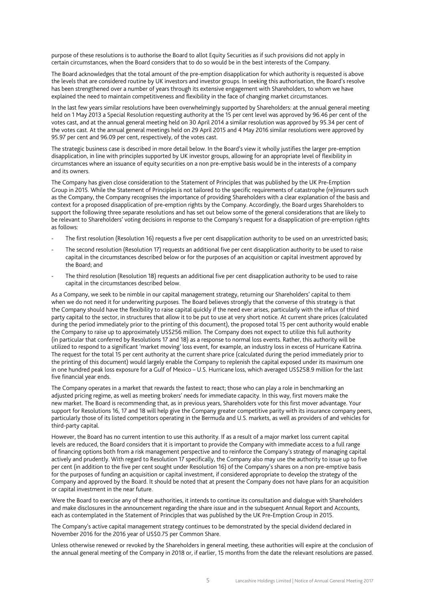purpose of these resolutions is to authorise the Board to allot Equity Securities as if such provisions did not apply in certain circumstances, when the Board considers that to do so would be in the best interests of the Company.

The Board acknowledges that the total amount of the pre-emption disapplication for which authority is requested is above the levels that are considered routine by UK investors and investor groups. In seeking this authorisation, the Board's resolve has been strengthened over a number of years through its extensive engagement with Shareholders, to whom we have explained the need to maintain competitiveness and flexibility in the face of changing market circumstances.

In the last few years similar resolutions have been overwhelmingly supported by Shareholders: at the annual general meeting held on 1 May 2013 a Special Resolution requesting authority at the 15 per cent level was approved by 96.46 per cent of the votes cast, and at the annual general meeting held on 30 April 2014 a similar resolution was approved by 95.34 per cent of the votes cast. At the annual general meetings held on 29 April 2015 and 4 May 2016 similar resolutions were approved by 95.97 per cent and 96.09 per cent, respectively, of the votes cast.

The strategic business case is described in more detail below. In the Board's view it wholly justifies the larger pre-emption disapplication, in line with principles supported by UK investor groups, allowing for an appropriate level of flexibility in circumstances where an issuance of equity securities on a non pre-emptive basis would be in the interests of a company and its owners.

The Company has given close consideration to the Statement of Principles that was published by the UK Pre-Emption Group in 2015. While the Statement of Principles is not tailored to the specific requirements of catastrophe (re)insurers such as the Company, the Company recognises the importance of providing Shareholders with a clear explanation of the basis and context for a proposed disapplication of pre-emption rights by the Company. Accordingly, the Board urges Shareholders to support the following three separate resolutions and has set out below some of the general considerations that are likely to be relevant to Shareholders' voting decisions in response to the Company's request for a disapplication of pre-emption rights as follows:

- The first resolution (Resolution 16) requests a five per cent disapplication authority to be used on an unrestricted basis;
- The second resolution (Resolution 17) requests an additional five per cent disapplication authority to be used to raise capital in the circumstances described below or for the purposes of an acquisition or capital investment approved by the Board; and
- The third resolution (Resolution 18) requests an additional five per cent disapplication authority to be used to raise capital in the circumstances described below.

As a Company, we seek to be nimble in our capital management strategy, returning our Shareholders' capital to them when we do not need it for underwriting purposes. The Board believes strongly that the converse of this strategy is that the Company should have the flexibility to raise capital quickly if the need ever arises, particularly with the influx of third party capital to the sector, in structures that allow it to be put to use at very short notice. At current share prices (calculated during the period immediately prior to the printing of this document), the proposed total 15 per cent authority would enable the Company to raise up to approximately US\$256 million. The Company does not expect to utilize this full authority (in particular that conferred by Resolutions 17 and 18) as a response to normal loss events. Rather, this authority will be utilized to respond to a significant 'market moving' loss event, for example, an industry loss in excess of Hurricane Katrina. The request for the total 15 per cent authority at the current share price (calculated during the period immediately prior to the printing of this document) would largely enable the Company to replenish the capital exposed under its maximum one in one hundred peak loss exposure for a Gulf of Mexico – U.S. Hurricane loss, which averaged US\$258.9 million for the last five financial year ends.

The Company operates in a market that rewards the fastest to react; those who can play a role in benchmarking an adjusted pricing regime, as well as meeting brokers' needs for immediate capacity. In this way, first movers make the new market. The Board is recommending that, as in previous years, Shareholders vote for this first mover advantage. Your support for Resolutions 16, 17 and 18 will help give the Company greater competitive parity with its insurance company peers, particularly those of its listed competitors operating in the Bermuda and U.S. markets, as well as providers of and vehicles for third-party capital.

However, the Board has no current intention to use this authority. If as a result of a major market loss current capital levels are reduced, the Board considers that it is important to provide the Company with immediate access to a full range of financing options both from a risk management perspective and to reinforce the Company's strategy of managing capital actively and prudently. With regard to Resolution 17 specifically, the Company also may use the authority to issue up to five per cent (in addition to the five per cent sought under Resolution 16) of the Company's shares on a non pre-emptive basis for the purposes of funding an acquisition or capital investment, if considered appropriate to develop the strategy of the Company and approved by the Board. It should be noted that at present the Company does not have plans for an acquisition or capital investment in the near future.

Were the Board to exercise any of these authorities, it intends to continue its consultation and dialogue with Shareholders and make disclosures in the announcement regarding the share issue and in the subsequent Annual Report and Accounts, each as contemplated in the Statement of Principles that was published by the UK Pre-Emption Group in 2015.

The Company's active capital management strategy continues to be demonstrated by the special dividend declared in November 2016 for the 2016 year of US\$0.75 per Common Share.

Unless otherwise renewed or revoked by the Shareholders in general meeting, these authorities will expire at the conclusion of the annual general meeting of the Company in 2018 or, if earlier, 15 months from the date the relevant resolutions are passed.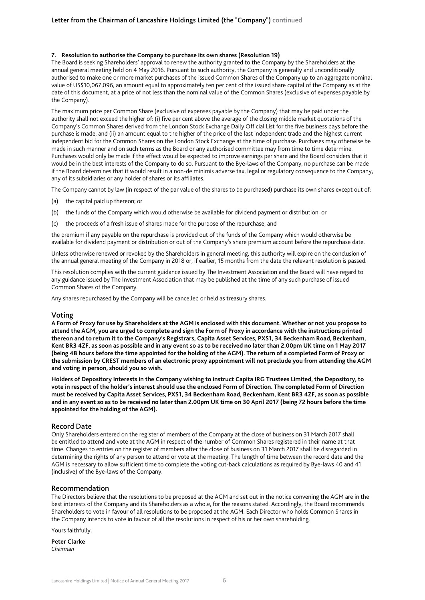## **7. Resolution to authorise the Company to purchase its own shares (Resolution 19)**

The Board is seeking Shareholders' approval to renew the authority granted to the Company by the Shareholders at the annual general meeting held on 4 May 2016. Pursuant to such authority, the Company is generally and unconditionally authorised to make one or more market purchases of the issued Common Shares of the Company up to an aggregate nominal value of US\$10,067,096, an amount equal to approximately ten per cent of the issued share capital of the Company as at the date of this document, at a price of not less than the nominal value of the Common Shares (exclusive of expenses payable by the Company).

The maximum price per Common Share (exclusive of expenses payable by the Company) that may be paid under the authority shall not exceed the higher of: (i) five per cent above the average of the closing middle market quotations of the Company's Common Shares derived from the London Stock Exchange Daily Official List for the five business days before the purchase is made; and (ii) an amount equal to the higher of the price of the last independent trade and the highest current independent bid for the Common Shares on the London Stock Exchange at the time of purchase. Purchases may otherwise be made in such manner and on such terms as the Board or any authorised committee may from time to time determine. Purchases would only be made if the effect would be expected to improve earnings per share and the Board considers that it would be in the best interests of the Company to do so. Pursuant to the Bye-laws of the Company, no purchase can be made if the Board determines that it would result in a non-de minimis adverse tax, legal or regulatory consequence to the Company, any of its subsidiaries or any holder of shares or its affiliates.

The Company cannot by law (in respect of the par value of the shares to be purchased) purchase its own shares except out of:

- (a) the capital paid up thereon; or
- (b) the funds of the Company which would otherwise be available for dividend payment or distribution; or
- (c) the proceeds of a fresh issue of shares made for the purpose of the repurchase, and

the premium if any payable on the repurchase is provided out of the funds of the Company which would otherwise be available for dividend payment or distribution or out of the Company's share premium account before the repurchase date.

Unless otherwise renewed or revoked by the Shareholders in general meeting, this authority will expire on the conclusion of the annual general meeting of the Company in 2018 or, if earlier, 15 months from the date the relevant resolution is passed.

This resolution complies with the current guidance issued by The Investment Association and the Board will have regard to any guidance issued by The Investment Association that may be published at the time of any such purchase of issued Common Shares of the Company.

Any shares repurchased by the Company will be cancelled or held as treasury shares.

### Voting

**A Form of Proxy for use by Shareholders at the AGM is enclosed with this document. Whether or not you propose to attend the AGM, you are urged to complete and sign the Form of Proxy in accordance with the instructions printed thereon and to return it to the Company's Registrars, Capita Asset Services, PXS1, 34 Beckenham Road, Beckenham, Kent BR3 4ZF, as soon as possible and in any event so as to be received no later than 2.00pm UK time on 1 May 2017 (being 48 hours before the time appointed for the holding of the AGM). The return of a completed Form of Proxy or the submission by CREST members of an electronic proxy appointment will not preclude you from attending the AGM and voting in person, should you so wish.** 

**Holders of Depository Interests in the Company wishing to instruct Capita IRG Trustees Limited, the Depository, to vote in respect of the holder's interest should use the enclosed Form of Direction. The completed Form of Direction must be received by Capita Asset Services, PXS1, 34 Beckenham Road, Beckenham, Kent BR3 4ZF, as soon as possible and in any event so as to be received no later than 2.00pm UK time on 30 April 2017 (being 72 hours before the time appointed for the holding of the AGM).** 

# Record Date

Only Shareholders entered on the register of members of the Company at the close of business on 31 March 2017 shall be entitled to attend and vote at the AGM in respect of the number of Common Shares registered in their name at that time. Changes to entries on the register of members after the close of business on 31 March 2017 shall be disregarded in determining the rights of any person to attend or vote at the meeting. The length of time between the record date and the AGM is necessary to allow sufficient time to complete the voting cut-back calculations as required by Bye-laws 40 and 41 (inclusive) of the Bye-laws of the Company.

## Recommendation

The Directors believe that the resolutions to be proposed at the AGM and set out in the notice convening the AGM are in the best interests of the Company and its Shareholders as a whole, for the reasons stated. Accordingly, the Board recommends Shareholders to vote in favour of all resolutions to be proposed at the AGM. Each Director who holds Common Shares in the Company intends to vote in favour of all the resolutions in respect of his or her own shareholding.

Yours faithfully,

**Peter Clarke**  *Chairman*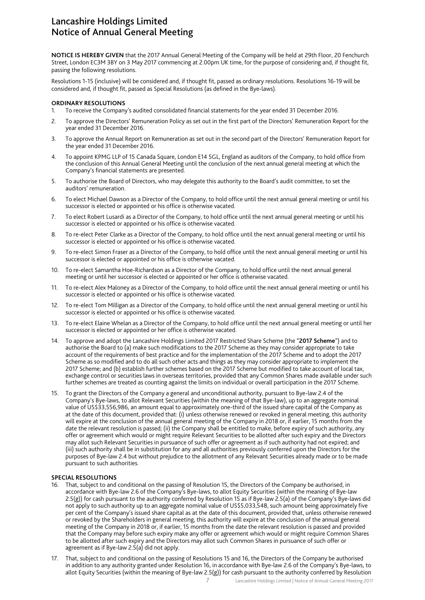# Lancashire Holdings Limited Notice of Annual General Meeting

**NOTICE IS HEREBY GIVEN** that the 2017 Annual General Meeting of the Company will be held at 29th Floor, 20 Fenchurch Street, London EC3M 3BY on 3 May 2017 commencing at 2.00pm UK time, for the purpose of considering and, if thought fit, passing the following resolutions.

Resolutions 1-15 (inclusive) will be considered and, if thought fit, passed as ordinary resolutions. Resolutions 16-19 will be considered and, if thought fit, passed as Special Resolutions (as defined in the Bye-laws).

### **ORDINARY RESOLUTIONS**

- 1. To receive the Company's audited consolidated financial statements for the year ended 31 December 2016.
- 2. To approve the Directors' Remuneration Policy as set out in the first part of the Directors' Remuneration Report for the year ended 31 December 2016.
- 3. To approve the Annual Report on Remuneration as set out in the second part of the Directors' Remuneration Report for the year ended 31 December 2016.
- 4. To appoint KPMG LLP of 15 Canada Square, London E14 5GL, England as auditors of the Company, to hold office from the conclusion of this Annual General Meeting until the conclusion of the next annual general meeting at which the Company's financial statements are presented.
- 5. To authorise the Board of Directors, who may delegate this authority to the Board's audit committee, to set the auditors' remuneration.
- 6. To elect Michael Dawson as a Director of the Company, to hold office until the next annual general meeting or until his successor is elected or appointed or his office is otherwise vacated.
- 7. To elect Robert Lusardi as a Director of the Company, to hold office until the next annual general meeting or until his successor is elected or appointed or his office is otherwise vacated.
- 8. To re-elect Peter Clarke as a Director of the Company, to hold office until the next annual general meeting or until his successor is elected or appointed or his office is otherwise vacated.
- 9. To re-elect Simon Fraser as a Director of the Company, to hold office until the next annual general meeting or until his successor is elected or appointed or his office is otherwise vacated.
- 10. To re-elect Samantha Hoe-Richardson as a Director of the Company, to hold office until the next annual general meeting or until her successor is elected or appointed or her office is otherwise vacated.
- 11. To re-elect Alex Maloney as a Director of the Company, to hold office until the next annual general meeting or until his successor is elected or appointed or his office is otherwise vacated.
- 12. To re-elect Tom Milligan as a Director of the Company, to hold office until the next annual general meeting or until his successor is elected or appointed or his office is otherwise vacated.
- 13. To re-elect Elaine Whelan as a Director of the Company, to hold office until the next annual general meeting or until her successor is elected or appointed or her office is otherwise vacated.
- 14. To approve and adopt the Lancashire Holdings Limited 2017 Restricted Share Scheme (the "**2017 Scheme**") and to authorise the Board to (a) make such modifications to the 2017 Scheme as they may consider appropriate to take account of the requirements of best practice and for the implementation of the 2017 Scheme and to adopt the 2017 Scheme as so modified and to do all such other acts and things as they may consider appropriate to implement the 2017 Scheme; and (b) establish further schemes based on the 2017 Scheme but modified to take account of local tax, exchange control or securities laws in overseas territories, provided that any Common Shares made available under such further schemes are treated as counting against the limits on individual or overall participation in the 2017 Scheme.
- 15. To grant the Directors of the Company a general and unconditional authority, pursuant to Bye-law 2.4 of the Company's Bye-laws, to allot Relevant Securities (within the meaning of that Bye-law), up to an aggregate nominal value of US\$33,556,986, an amount equal to approximately one-third of the issued share capital of the Company as at the date of this document, provided that: (i) unless otherwise renewed or revoked in general meeting, this authority will expire at the conclusion of the annual general meeting of the Company in 2018 or, if earlier, 15 months from the date the relevant resolution is passed; (ii) the Company shall be entitled to make, before expiry of such authority, any offer or agreement which would or might require Relevant Securities to be allotted after such expiry and the Directors may allot such Relevant Securities in pursuance of such offer or agreement as if such authority had not expired; and (iii) such authority shall be in substitution for any and all authorities previously conferred upon the Directors for the purposes of Bye-law 2.4 but without prejudice to the allotment of any Relevant Securities already made or to be made pursuant to such authorities.

### **SPECIAL RESOLUTIONS**

- 16. That, subject to and conditional on the passing of Resolution 15, the Directors of the Company be authorised, in accordance with Bye-law 2.6 of the Company's Bye-laws, to allot Equity Securities (within the meaning of Bye-law 2.5(g)) for cash pursuant to the authority conferred by Resolution 15 as if Bye-law 2.5(a) of the Company's Bye-laws did not apply to such authority up to an aggregate nominal value of US\$5,033,548, such amount being approximately five per cent of the Company's issued share capital as at the date of this document, provided that, unless otherwise renewed or revoked by the Shareholders in general meeting, this authority will expire at the conclusion of the annual general meeting of the Company in 2018 or, if earlier, 15 months from the date the relevant resolution is passed and provided that the Company may before such expiry make any offer or agreement which would or might require Common Shares to be allotted after such expiry and the Directors may allot such Common Shares in pursuance of such offer or agreement as if Bye-law  $2.5(a)$  did not apply.
- 17. That, subject to and conditional on the passing of Resolutions 15 and 16, the Directors of the Company be authorised in addition to any authority granted under Resolution 16, in accordance with Bye-law 2.6 of the Company's Bye-laws, to allot Equity Securities (within the meaning of Bye-law 2.5(g)) for cash pursuant to the authority conferred by Resolution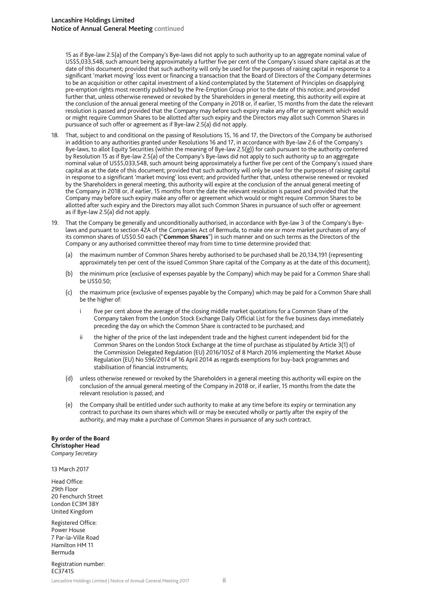15 as if Bye-law 2.5(a) of the Company's Bye-laws did not apply to such authority up to an aggregate nominal value of US\$5,033,548, such amount being approximately a further five per cent of the Company's issued share capital as at the date of this document; provided that such authority will only be used for the purposes of raising capital in response to a significant 'market moving' loss event or financing a transaction that the Board of Directors of the Company determines to be an acquisition or other capital investment of a kind contemplated by the Statement of Principles on disapplying pre-emption rights most recently published by the Pre-Emption Group prior to the date of this notice; and provided further that, unless otherwise renewed or revoked by the Shareholders in general meeting, this authority will expire at the conclusion of the annual general meeting of the Company in 2018 or, if earlier, 15 months from the date the relevant resolution is passed and provided that the Company may before such expiry make any offer or agreement which would or might require Common Shares to be allotted after such expiry and the Directors may allot such Common Shares in pursuance of such offer or agreement as if Bye-law 2.5(a) did not apply.

- 18. That, subject to and conditional on the passing of Resolutions 15, 16 and 17, the Directors of the Company be authorised in addition to any authorities granted under Resolutions 16 and 17, in accordance with Bye-law 2.6 of the Company's Bye-laws, to allot Equity Securities (within the meaning of Bye-law 2.5(g)) for cash pursuant to the authority conferred by Resolution 15 as if Bye-law 2.5(a) of the Company's Bye-laws did not apply to such authority up to an aggregate nominal value of US\$5,033,548, such amount being approximately a further five per cent of the Company's issued share capital as at the date of this document; provided that such authority will only be used for the purposes of raising capital in response to a significant 'market moving' loss event; and provided further that, unless otherwise renewed or revoked by the Shareholders in general meeting, this authority will expire at the conclusion of the annual general meeting of the Company in 2018 or, if earlier, 15 months from the date the relevant resolution is passed and provided that the Company may before such expiry make any offer or agreement which would or might require Common Shares to be allotted after such expiry and the Directors may allot such Common Shares in pursuance of such offer or agreement as if Bye-law 2.5(a) did not apply.
- 19. That the Company be generally and unconditionally authorised, in accordance with Bye-law 3 of the Company's Byelaws and pursuant to section 42A of the Companies Act of Bermuda, to make one or more market purchases of any of its common shares of US\$0.50 each ("**Common Shares**") in such manner and on such terms as the Directors of the Company or any authorised committee thereof may from time to time determine provided that:
	- (a) the maximum number of Common Shares hereby authorised to be purchased shall be 20,134,191 (representing approximately ten per cent of the issued Common Share capital of the Company as at the date of this document);
	- (b) the minimum price (exclusive of expenses payable by the Company) which may be paid for a Common Share shall be US\$0.50;
	- (c) the maximum price (exclusive of expenses payable by the Company) which may be paid for a Common Share shall be the higher of:
		- i five per cent above the average of the closing middle market quotations for a Common Share of the Company taken from the London Stock Exchange Daily Official List for the five business days immediately preceding the day on which the Common Share is contracted to be purchased; and
		- ii the higher of the price of the last independent trade and the highest current independent bid for the Common Shares on the London Stock Exchange at the time of purchase as stipulated by Article 3(1) of the Commission Delegated Regulation (EU) 2016/1052 of 8 March 2016 implementing the Market Abuse Regulation (EU) No 596/2014 of 16 April 2014 as regards exemptions for buy-back programmes and stabilisation of financial instruments;
	- (d) unless otherwise renewed or revoked by the Shareholders in a general meeting this authority will expire on the conclusion of the annual general meeting of the Company in 2018 or, if earlier, 15 months from the date the relevant resolution is passed; and
	- (e) the Company shall be entitled under such authority to make at any time before its expiry or termination any contract to purchase its own shares which will or may be executed wholly or partly after the expiry of the authority, and may make a purchase of Common Shares in pursuance of any such contract.

**By order of the Board Christopher Head**  *Company Secretary* 

13 March 2017

Head Office: 29th Floor 20 Fenchurch Street London EC3M 3BY United Kingdom

Registered Office: Power House 7 Par-la-Ville Road Hamilton HM 11 Bermuda

Registration number: EC37415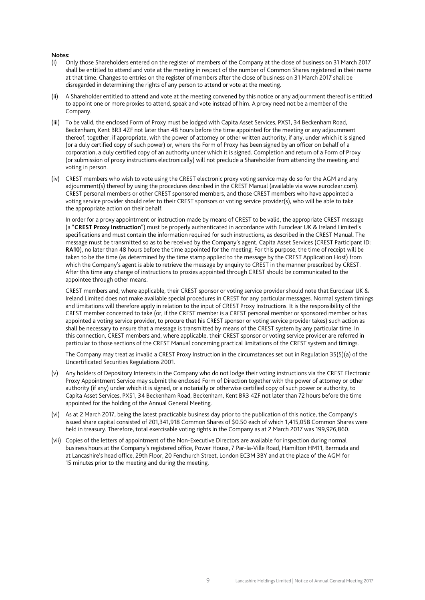#### **Notes:**

- (i) Only those Shareholders entered on the register of members of the Company at the close of business on 31 March 2017 shall be entitled to attend and vote at the meeting in respect of the number of Common Shares registered in their name at that time. Changes to entries on the register of members after the close of business on 31 March 2017 shall be disregarded in determining the rights of any person to attend or vote at the meeting.
- (ii) A Shareholder entitled to attend and vote at the meeting convened by this notice or any adjournment thereof is entitled to appoint one or more proxies to attend, speak and vote instead of him. A proxy need not be a member of the Company.
- (iii) To be valid, the enclosed Form of Proxy must be lodged with Capita Asset Services, PXS1, 34 Beckenham Road, Beckenham, Kent BR3 4ZF not later than 48 hours before the time appointed for the meeting or any adjournment thereof, together, if appropriate, with the power of attorney or other written authority, if any, under which it is signed (or a duly certified copy of such power) or, where the Form of Proxy has been signed by an officer on behalf of a corporation, a duly certified copy of an authority under which it is signed. Completion and return of a Form of Proxy (or submission of proxy instructions electronically) will not preclude a Shareholder from attending the meeting and voting in person.
- (iv) CREST members who wish to vote using the CREST electronic proxy voting service may do so for the AGM and any adjournment(s) thereof by using the procedures described in the CREST Manual (available via www.euroclear.com). CREST personal members or other CREST sponsored members, and those CREST members who have appointed a voting service provider should refer to their CREST sponsors or voting service provider(s), who will be able to take the appropriate action on their behalf.

 In order for a proxy appointment or instruction made by means of CREST to be valid, the appropriate CREST message (a "**CREST Proxy Instruction**") must be properly authenticated in accordance with Euroclear UK & Ireland Limited's specifications and must contain the information required for such instructions, as described in the CREST Manual. The message must be transmitted so as to be received by the Company's agent, Capita Asset Services (CREST Participant ID: **RA10**), no later than 48 hours before the time appointed for the meeting. For this purpose, the time of receipt will be taken to be the time (as determined by the time stamp applied to the message by the CREST Application Host) from which the Company's agent is able to retrieve the message by enquiry to CREST in the manner prescribed by CREST. After this time any change of instructions to proxies appointed through CREST should be communicated to the appointee through other means.

 CREST members and, where applicable, their CREST sponsor or voting service provider should note that Euroclear UK & Ireland Limited does not make available special procedures in CREST for any particular messages. Normal system timings and limitations will therefore apply in relation to the input of CREST Proxy Instructions. It is the responsibility of the CREST member concerned to take (or, if the CREST member is a CREST personal member or sponsored member or has appointed a voting service provider, to procure that his CREST sponsor or voting service provider takes) such action as shall be necessary to ensure that a message is transmitted by means of the CREST system by any particular time. In this connection, CREST members and, where applicable, their CREST sponsor or voting service provider are referred in particular to those sections of the CREST Manual concerning practical limitations of the CREST system and timings.

 The Company may treat as invalid a CREST Proxy Instruction in the circumstances set out in Regulation 35(5)(a) of the Uncertificated Securities Regulations 2001.

- (v) Any holders of Depository Interests in the Company who do not lodge their voting instructions via the CREST Electronic Proxy Appointment Service may submit the enclosed Form of Direction together with the power of attorney or other authority (if any) under which it is signed, or a notarially or otherwise certified copy of such power or authority, to Capita Asset Services, PXS1, 34 Beckenham Road, Beckenham, Kent BR3 4ZF not later than 72 hours before the time appointed for the holding of the Annual General Meeting.
- (vi) As at 2 March 2017, being the latest practicable business day prior to the publication of this notice, the Company's issued share capital consisted of 201,341,918 Common Shares of \$0.50 each of which 1,415,058 Common Shares were held in treasury. Therefore, total exercisable voting rights in the Company as at 2 March 2017 was 199,926,860.
- (vii) Copies of the letters of appointment of the Non-Executive Directors are available for inspection during normal business hours at the Company's registered office, Power House, 7 Par-la-Ville Road, Hamilton HM11, Bermuda and at Lancashire's head office, 29th Floor, 20 Fenchurch Street, London EC3M 3BY and at the place of the AGM for 15 minutes prior to the meeting and during the meeting.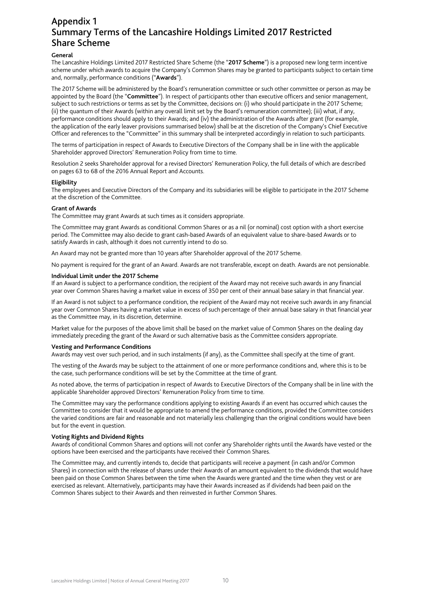# Appendix 1 Summary Terms of the Lancashire Holdings Limited 2017 Restricted Share Scheme

## **General**

The Lancashire Holdings Limited 2017 Restricted Share Scheme (the "**2017 Scheme**") is a proposed new long term incentive scheme under which awards to acquire the Company's Common Shares may be granted to participants subject to certain time and, normally, performance conditions ("**Awards**").

The 2017 Scheme will be administered by the Board's remuneration committee or such other committee or person as may be appointed by the Board (the "**Committee**"). In respect of participants other than executive officers and senior management, subject to such restrictions or terms as set by the Committee, decisions on: (i) who should participate in the 2017 Scheme; (ii) the quantum of their Awards (within any overall limit set by the Board's remuneration committee); (iii) what, if any, performance conditions should apply to their Awards; and (iv) the administration of the Awards after grant (for example, the application of the early leaver provisions summarised below) shall be at the discretion of the Company's Chief Executive Officer and references to the "Committee" in this summary shall be interpreted accordingly in relation to such participants.

The terms of participation in respect of Awards to Executive Directors of the Company shall be in line with the applicable Shareholder approved Directors' Remuneration Policy from time to time.

Resolution 2 seeks Shareholder approval for a revised Directors' Remuneration Policy, the full details of which are described on pages 63 to 68 of the 2016 Annual Report and Accounts.

#### **Eligibility**

The employees and Executive Directors of the Company and its subsidiaries will be eligible to participate in the 2017 Scheme at the discretion of the Committee.

#### **Grant of Awards**

The Committee may grant Awards at such times as it considers appropriate.

The Committee may grant Awards as conditional Common Shares or as a nil (or nominal) cost option with a short exercise period. The Committee may also decide to grant cash-based Awards of an equivalent value to share-based Awards or to satisfy Awards in cash, although it does not currently intend to do so.

An Award may not be granted more than 10 years after Shareholder approval of the 2017 Scheme.

No payment is required for the grant of an Award. Awards are not transferable, except on death. Awards are not pensionable.

#### **Individual Limit under the 2017 Scheme**

If an Award is subject to a performance condition, the recipient of the Award may not receive such awards in any financial year over Common Shares having a market value in excess of 350 per cent of their annual base salary in that financial year.

If an Award is not subject to a performance condition, the recipient of the Award may not receive such awards in any financial year over Common Shares having a market value in excess of such percentage of their annual base salary in that financial year as the Committee may, in its discretion, determine.

Market value for the purposes of the above limit shall be based on the market value of Common Shares on the dealing day immediately preceding the grant of the Award or such alternative basis as the Committee considers appropriate.

#### **Vesting and Performance Conditions**

Awards may vest over such period, and in such instalments (if any), as the Committee shall specify at the time of grant.

The vesting of the Awards may be subject to the attainment of one or more performance conditions and, where this is to be the case, such performance conditions will be set by the Committee at the time of grant.

As noted above, the terms of participation in respect of Awards to Executive Directors of the Company shall be in line with the applicable Shareholder approved Directors' Remuneration Policy from time to time.

The Committee may vary the performance conditions applying to existing Awards if an event has occurred which causes the Committee to consider that it would be appropriate to amend the performance conditions, provided the Committee considers the varied conditions are fair and reasonable and not materially less challenging than the original conditions would have been but for the event in question.

#### **Voting Rights and Dividend Rights**

Awards of conditional Common Shares and options will not confer any Shareholder rights until the Awards have vested or the options have been exercised and the participants have received their Common Shares.

The Committee may, and currently intends to, decide that participants will receive a payment (in cash and/or Common Shares) in connection with the release of shares under their Awards of an amount equivalent to the dividends that would have been paid on those Common Shares between the time when the Awards were granted and the time when they vest or are exercised as relevant. Alternatively, participants may have their Awards increased as if dividends had been paid on the Common Shares subject to their Awards and then reinvested in further Common Shares.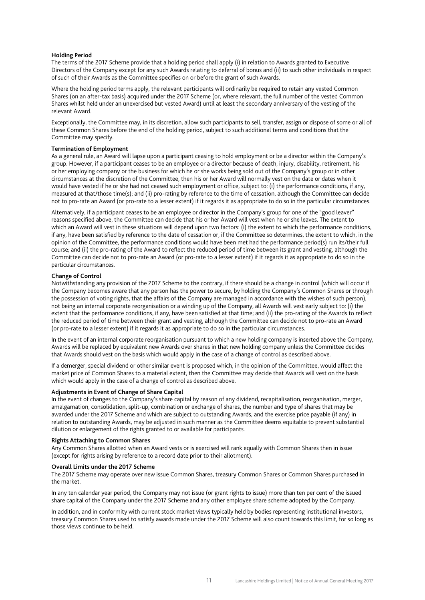#### **Holding Period**

The terms of the 2017 Scheme provide that a holding period shall apply (i) in relation to Awards granted to Executive Directors of the Company except for any such Awards relating to deferral of bonus and (ii) to such other individuals in respect of such of their Awards as the Committee specifies on or before the grant of such Awards.

Where the holding period terms apply, the relevant participants will ordinarily be required to retain any vested Common Shares (on an after-tax basis) acquired under the 2017 Scheme (or, where relevant, the full number of the vested Common Shares whilst held under an unexercised but vested Award) until at least the secondary anniversary of the vesting of the relevant Award.

Exceptionally, the Committee may, in its discretion, allow such participants to sell, transfer, assign or dispose of some or all of these Common Shares before the end of the holding period, subject to such additional terms and conditions that the Committee may specify.

# **Termination of Employment**

As a general rule, an Award will lapse upon a participant ceasing to hold employment or be a director within the Company's group. However, if a participant ceases to be an employee or a director because of death, injury, disability, retirement, his or her employing company or the business for which he or she works being sold out of the Company's group or in other circumstances at the discretion of the Committee, then his or her Award will normally vest on the date or dates when it would have vested if he or she had not ceased such employment or office, subject to: (i) the performance conditions, if any, measured at that/those time(s); and (ii) pro-rating by reference to the time of cessation, although the Committee can decide not to pro-rate an Award (or pro-rate to a lesser extent) if it regards it as appropriate to do so in the particular circumstances.

Alternatively, if a participant ceases to be an employee or director in the Company's group for one of the "good leaver" reasons specified above, the Committee can decide that his or her Award will vest when he or she leaves. The extent to which an Award will vest in these situations will depend upon two factors: (i) the extent to which the performance conditions, if any, have been satisfied by reference to the date of cessation or, if the Committee so determines, the extent to which, in the opinion of the Committee, the performance conditions would have been met had the performance period(s) run its/their full course; and (ii) the pro-rating of the Award to reflect the reduced period of time between its grant and vesting, although the Committee can decide not to pro-rate an Award (or pro-rate to a lesser extent) if it regards it as appropriate to do so in the particular circumstances.

#### **Change of Control**

Notwithstanding any provision of the 2017 Scheme to the contrary, if there should be a change in control (which will occur if the Company becomes aware that any person has the power to secure, by holding the Company's Common Shares or through the possession of voting rights, that the affairs of the Company are managed in accordance with the wishes of such person), not being an internal corporate reorganisation or a winding up of the Company, all Awards will vest early subject to: (i) the extent that the performance conditions, if any, have been satisfied at that time; and (ii) the pro-rating of the Awards to reflect the reduced period of time between their grant and vesting, although the Committee can decide not to pro-rate an Award (or pro-rate to a lesser extent) if it regards it as appropriate to do so in the particular circumstances.

In the event of an internal corporate reorganisation pursuant to which a new holding company is inserted above the Company, Awards will be replaced by equivalent new Awards over shares in that new holding company unless the Committee decides that Awards should vest on the basis which would apply in the case of a change of control as described above.

If a demerger, special dividend or other similar event is proposed which, in the opinion of the Committee, would affect the market price of Common Shares to a material extent, then the Committee may decide that Awards will vest on the basis which would apply in the case of a change of control as described above.

#### **Adjustments in Event of Change of Share Capital**

In the event of changes to the Company's share capital by reason of any dividend, recapitalisation, reorganisation, merger, amalgamation, consolidation, split-up, combination or exchange of shares, the number and type of shares that may be awarded under the 2017 Scheme and which are subject to outstanding Awards, and the exercise price payable (if any) in relation to outstanding Awards, may be adjusted in such manner as the Committee deems equitable to prevent substantial dilution or enlargement of the rights granted to or available for participants.

#### **Rights Attaching to Common Shares**

Any Common Shares allotted when an Award vests or is exercised will rank equally with Common Shares then in issue (except for rights arising by reference to a record date prior to their allotment).

#### **Overall Limits under the 2017 Scheme**

The 2017 Scheme may operate over new issue Common Shares, treasury Common Shares or Common Shares purchased in the market.

In any ten calendar year period, the Company may not issue (or grant rights to issue) more than ten per cent of the issued share capital of the Company under the 2017 Scheme and any other employee share scheme adopted by the Company.

In addition, and in conformity with current stock market views typically held by bodies representing institutional investors, treasury Common Shares used to satisfy awards made under the 2017 Scheme will also count towards this limit, for so long as those views continue to be held.